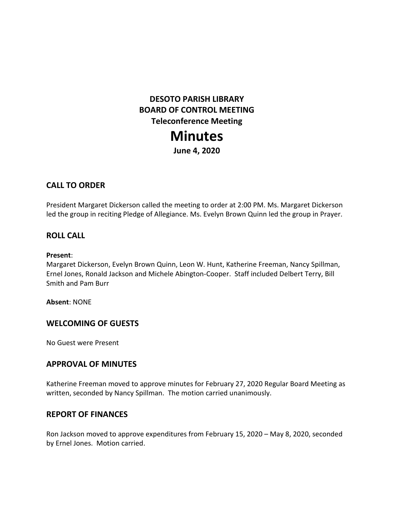# **DESOTO PARISH LIBRARY BOARD OF CONTROL MEETING Teleconference Meeting Minutes**

**June 4, 2020**

# **CALL TO ORDER**

President Margaret Dickerson called the meeting to order at 2:00 PM. Ms. Margaret Dickerson led the group in reciting Pledge of Allegiance. Ms. Evelyn Brown Quinn led the group in Prayer.

#### **ROLL CALL**

#### **Present**:

Margaret Dickerson, Evelyn Brown Quinn, Leon W. Hunt, Katherine Freeman, Nancy Spillman, Ernel Jones, Ronald Jackson and Michele Abington-Cooper. Staff included Delbert Terry, Bill Smith and Pam Burr

#### **Absent**: NONE

### **WELCOMING OF GUESTS**

No Guest were Present

### **APPROVAL OF MINUTES**

Katherine Freeman moved to approve minutes for February 27, 2020 Regular Board Meeting as written, seconded by Nancy Spillman. The motion carried unanimously.

### **REPORT OF FINANCES**

Ron Jackson moved to approve expenditures from February 15, 2020 – May 8, 2020, seconded by Ernel Jones. Motion carried.